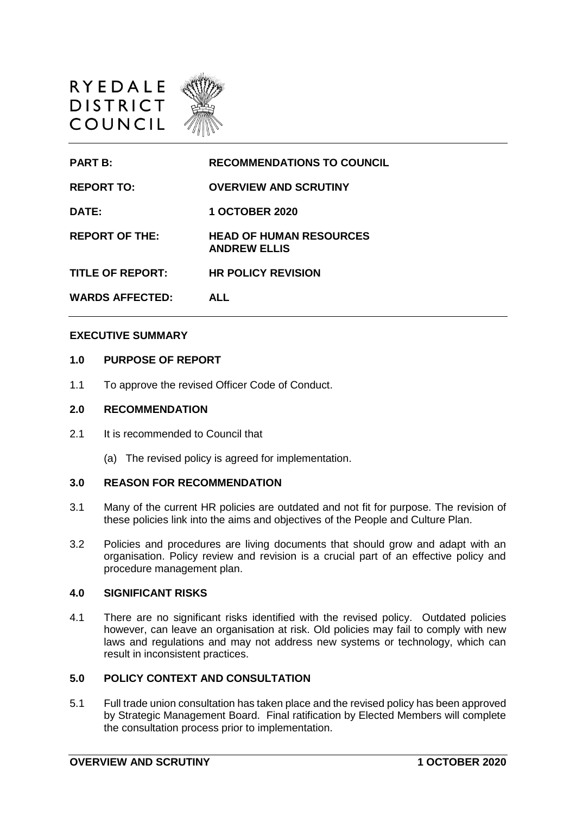



#### **EXECUTIVE SUMMARY**

## **1.0 PURPOSE OF REPORT**

1.1 To approve the revised Officer Code of Conduct.

### **2.0 RECOMMENDATION**

- 2.1 It is recommended to Council that
	- (a) The revised policy is agreed for implementation.

#### **3.0 REASON FOR RECOMMENDATION**

- 3.1 Many of the current HR policies are outdated and not fit for purpose. The revision of these policies link into the aims and objectives of the People and Culture Plan.
- 3.2 Policies and procedures are living documents that should grow and adapt with an organisation. Policy review and revision is a crucial part of an effective policy and procedure management plan.

## **4.0 SIGNIFICANT RISKS**

4.1 There are no significant risks identified with the revised policy. Outdated policies however, can leave an organisation at risk. Old policies may fail to comply with new laws and regulations and may not address new systems or technology, which can result in inconsistent practices.

## **5.0 POLICY CONTEXT AND CONSULTATION**

5.1 Full trade union consultation has taken place and the revised policy has been approved by Strategic Management Board. Final ratification by Elected Members will complete the consultation process prior to implementation.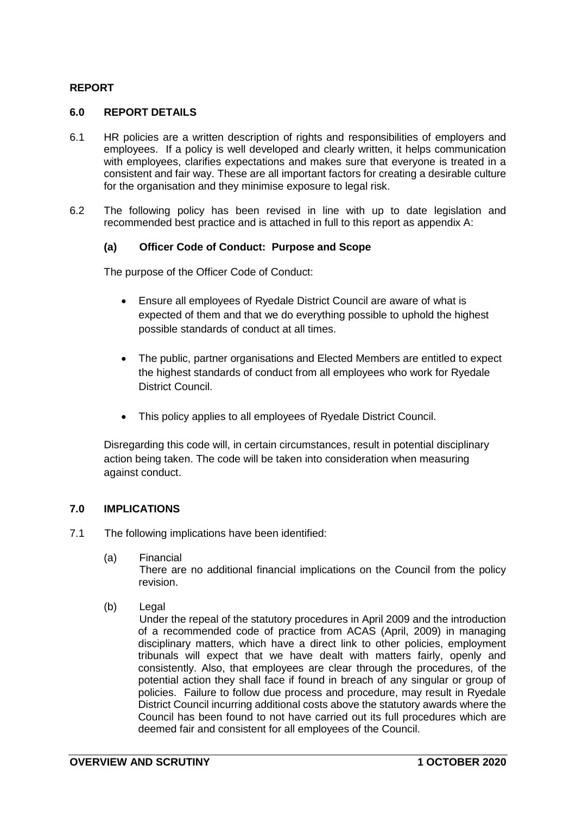# **REPORT**

## **6.0 REPORT DETAILS**

- 6.1 HR policies are a written description of rights and responsibilities of employers and employees. If a policy is well developed and clearly written, it helps communication with employees, clarifies expectations and makes sure that everyone is treated in a consistent and fair way. These are all important factors for creating a desirable culture for the organisation and they minimise exposure to legal risk.
- 6.2 The following policy has been revised in line with up to date legislation and recommended best practice and is attached in full to this report as appendix A:

### **(a) Officer Code of Conduct: Purpose and Scope**

The purpose of the Officer Code of Conduct:

- Ensure all employees of Ryedale District Council are aware of what is expected of them and that we do everything possible to uphold the highest possible standards of conduct at all times.
- The public, partner organisations and Elected Members are entitled to expect the highest standards of conduct from all employees who work for Ryedale District Council.
- This policy applies to all employees of Ryedale District Council.

Disregarding this code will, in certain circumstances, result in potential disciplinary action being taken. The code will be taken into consideration when measuring against conduct.

## **7.0 IMPLICATIONS**

- 7.1 The following implications have been identified:
	- (a) Financial

There are no additional financial implications on the Council from the policy revision.

(b) Legal

Under the repeal of the statutory procedures in April 2009 and the introduction of a recommended code of practice from ACAS (April, 2009) in managing disciplinary matters, which have a direct link to other policies, employment tribunals will expect that we have dealt with matters fairly, openly and consistently. Also, that employees are clear through the procedures, of the potential action they shall face if found in breach of any singular or group of policies. Failure to follow due process and procedure, may result in Ryedale District Council incurring additional costs above the statutory awards where the Council has been found to not have carried out its full procedures which are deemed fair and consistent for all employees of the Council.